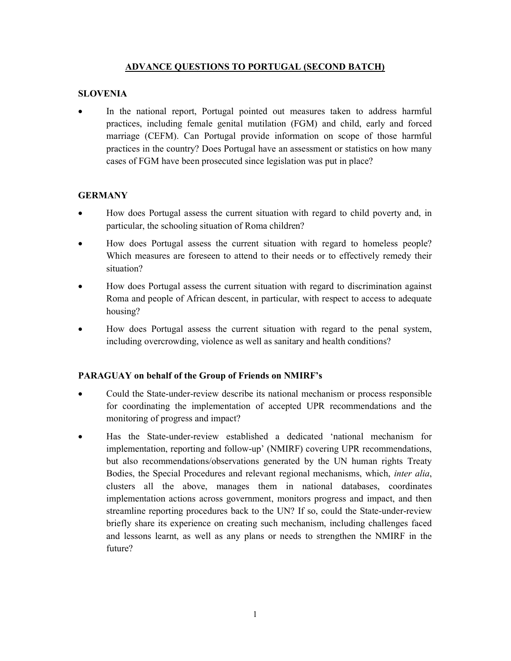#### ADVANCE QUESTIONS TO PORTUGAL (SECOND BATCH)

#### **SLOVENIA**

 In the national report, Portugal pointed out measures taken to address harmful practices, including female genital mutilation (FGM) and child, early and forced marriage (CEFM). Can Portugal provide information on scope of those harmful practices in the country? Does Portugal have an assessment or statistics on how many cases of FGM have been prosecuted since legislation was put in place?

## **GERMANY**

- How does Portugal assess the current situation with regard to child poverty and, in particular, the schooling situation of Roma children?
- How does Portugal assess the current situation with regard to homeless people? Which measures are foreseen to attend to their needs or to effectively remedy their situation?
- How does Portugal assess the current situation with regard to discrimination against Roma and people of African descent, in particular, with respect to access to adequate housing?
- How does Portugal assess the current situation with regard to the penal system, including overcrowding, violence as well as sanitary and health conditions?

## PARAGUAY on behalf of the Group of Friends on NMIRF's

- Could the State-under-review describe its national mechanism or process responsible for coordinating the implementation of accepted UPR recommendations and the monitoring of progress and impact?
- Has the State-under-review established a dedicated 'national mechanism for implementation, reporting and follow-up' (NMIRF) covering UPR recommendations, but also recommendations/observations generated by the UN human rights Treaty Bodies, the Special Procedures and relevant regional mechanisms, which, inter alia, clusters all the above, manages them in national databases, coordinates implementation actions across government, monitors progress and impact, and then streamline reporting procedures back to the UN? If so, could the State-under-review briefly share its experience on creating such mechanism, including challenges faced and lessons learnt, as well as any plans or needs to strengthen the NMIRF in the future?